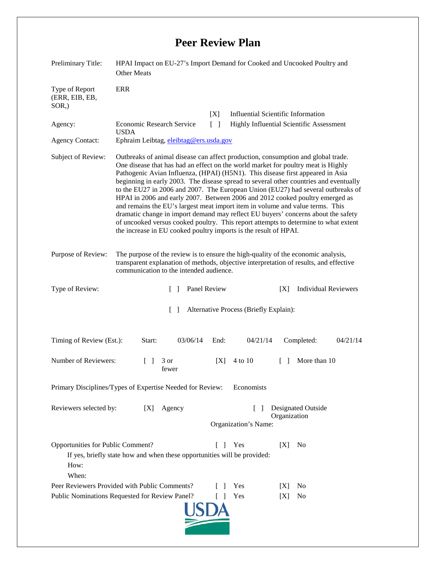## **Peer Review Plan**

| Preliminary Title:                                                                                                                                                                             | HPAI Impact on EU-27's Import Demand for Cooked and Uncooked Poultry and<br><b>Other Meats</b>                                                                                                                                                                                                                                                                                                                                                                                                                                                                                                                                                                                                                                                                                                                                                        |      |                                                            |        |                             |          |
|------------------------------------------------------------------------------------------------------------------------------------------------------------------------------------------------|-------------------------------------------------------------------------------------------------------------------------------------------------------------------------------------------------------------------------------------------------------------------------------------------------------------------------------------------------------------------------------------------------------------------------------------------------------------------------------------------------------------------------------------------------------------------------------------------------------------------------------------------------------------------------------------------------------------------------------------------------------------------------------------------------------------------------------------------------------|------|------------------------------------------------------------|--------|-----------------------------|----------|
| Type of Report<br>(ERR, EIB, EB,<br>$SOR$ <sub>,</sub> )                                                                                                                                       | <b>ERR</b>                                                                                                                                                                                                                                                                                                                                                                                                                                                                                                                                                                                                                                                                                                                                                                                                                                            |      |                                                            |        |                             |          |
|                                                                                                                                                                                                |                                                                                                                                                                                                                                                                                                                                                                                                                                                                                                                                                                                                                                                                                                                                                                                                                                                       | [X]  | <b>Influential Scientific Information</b>                  |        |                             |          |
| Agency:                                                                                                                                                                                        | <b>Economic Research Service</b><br>$\lceil \; \rceil$<br>Highly Influential Scientific Assessment<br><b>USDA</b>                                                                                                                                                                                                                                                                                                                                                                                                                                                                                                                                                                                                                                                                                                                                     |      |                                                            |        |                             |          |
| <b>Agency Contact:</b>                                                                                                                                                                         | Ephraim Leibtag, eleibtag@ers.usda.gov                                                                                                                                                                                                                                                                                                                                                                                                                                                                                                                                                                                                                                                                                                                                                                                                                |      |                                                            |        |                             |          |
| Subject of Review:                                                                                                                                                                             | Outbreaks of animal disease can affect production, consumption and global trade.<br>One disease that has had an effect on the world market for poultry meat is Highly<br>Pathogenic Avian Influenza, (HPAI) (H5N1). This disease first appeared in Asia<br>beginning in early 2003. The disease spread to several other countries and eventually<br>to the EU27 in 2006 and 2007. The European Union (EU27) had several outbreaks of<br>HPAI in 2006 and early 2007. Between 2006 and 2012 cooked poultry emerged as<br>and remains the EU's largest meat import item in volume and value terms. This<br>dramatic change in import demand may reflect EU buyers' concerns about the safety<br>of uncooked versus cooked poultry. This report attempts to determine to what extent<br>the increase in EU cooked poultry imports is the result of HPAI. |      |                                                            |        |                             |          |
| Purpose of Review:                                                                                                                                                                             | The purpose of the review is to ensure the high-quality of the economic analysis,<br>transparent explanation of methods, objective interpretation of results, and effective<br>communication to the intended audience.                                                                                                                                                                                                                                                                                                                                                                                                                                                                                                                                                                                                                                |      |                                                            |        |                             |          |
| Type of Review:                                                                                                                                                                                | Panel Review<br>$\Box$                                                                                                                                                                                                                                                                                                                                                                                                                                                                                                                                                                                                                                                                                                                                                                                                                                |      |                                                            | [X]    | <b>Individual Reviewers</b> |          |
| $\Box$<br>Alternative Process (Briefly Explain):                                                                                                                                               |                                                                                                                                                                                                                                                                                                                                                                                                                                                                                                                                                                                                                                                                                                                                                                                                                                                       |      |                                                            |        |                             |          |
| Timing of Review (Est.):                                                                                                                                                                       | 03/06/14<br>Start:                                                                                                                                                                                                                                                                                                                                                                                                                                                                                                                                                                                                                                                                                                                                                                                                                                    | End: | 04/21/14                                                   |        | Completed:                  | 04/21/14 |
| Number of Reviewers:                                                                                                                                                                           | 3 or<br>fewer                                                                                                                                                                                                                                                                                                                                                                                                                                                                                                                                                                                                                                                                                                                                                                                                                                         | [X]  | 4 to 10                                                    | $\Box$ | More than 10                |          |
| Primary Disciplines/Types of Expertise Needed for Review:<br>Economists                                                                                                                        |                                                                                                                                                                                                                                                                                                                                                                                                                                                                                                                                                                                                                                                                                                                                                                                                                                                       |      |                                                            |        |                             |          |
| Reviewers selected by:<br>Agency<br>[X]                                                                                                                                                        |                                                                                                                                                                                                                                                                                                                                                                                                                                                                                                                                                                                                                                                                                                                                                                                                                                                       |      | Designated Outside<br>Organization<br>Organization's Name: |        |                             |          |
| Opportunities for Public Comment?<br>Yes<br>[X]<br>N <sub>0</sub><br>$\mathbf{L}$<br>$\mathbf{I}$<br>If yes, briefly state how and when these opportunities will be provided:<br>How:<br>When: |                                                                                                                                                                                                                                                                                                                                                                                                                                                                                                                                                                                                                                                                                                                                                                                                                                                       |      |                                                            |        |                             |          |
| Peer Reviewers Provided with Public Comments?                                                                                                                                                  |                                                                                                                                                                                                                                                                                                                                                                                                                                                                                                                                                                                                                                                                                                                                                                                                                                                       |      | Yes                                                        | [X]    | N <sub>0</sub>              |          |
| Public Nominations Requested for Review Panel?<br>Yes<br>No<br>L<br>[X]<br>$\overline{\phantom{a}}$                                                                                            |                                                                                                                                                                                                                                                                                                                                                                                                                                                                                                                                                                                                                                                                                                                                                                                                                                                       |      |                                                            |        |                             |          |